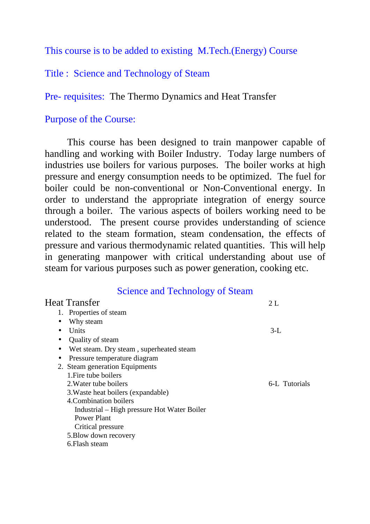This course is to be added to existing M.Tech.(Energy) Course

## Title : Science and Technology of Steam

Pre- requisites: The Thermo Dynamics and Heat Transfer

## Purpose of the Course:

 This course has been designed to train manpower capable of handling and working with Boiler Industry. Today large numbers of industries use boilers for various purposes. The boiler works at high pressure and energy consumption needs to be optimized. The fuel for boiler could be non-conventional or Non-Conventional energy. In order to understand the appropriate integration of energy source through a boiler. The various aspects of boilers working need to be understood. The present course provides understanding of science related to the steam formation, steam condensation, the effects of pressure and various thermodynamic related quantities. This will help in generating manpower with critical understanding about use of steam for various purposes such as power generation, cooking etc.

## Science and Technology of Steam

| Heat Transfer                                        | 2L            |
|------------------------------------------------------|---------------|
| 1. Properties of steam                               |               |
| Why steam<br>$\bullet$                               |               |
| <b>Units</b><br>$\bullet$                            | $3-L$         |
| Quality of steam                                     |               |
| Wet steam. Dry steam, superheated steam<br>$\bullet$ |               |
| Pressure temperature diagram                         |               |
| 2. Steam generation Equipments                       |               |
| 1. Fire tube boilers                                 |               |
| 2. Water tube boilers                                | 6-L Tutorials |
| 3. Waste heat boilers (expandable)                   |               |
| 4. Combination boilers                               |               |
| Industrial – High pressure Hot Water Boiler          |               |
| Power Plant                                          |               |
| Critical pressure                                    |               |
| 5. Blow down recovery                                |               |
| 6. Flash steam                                       |               |
|                                                      |               |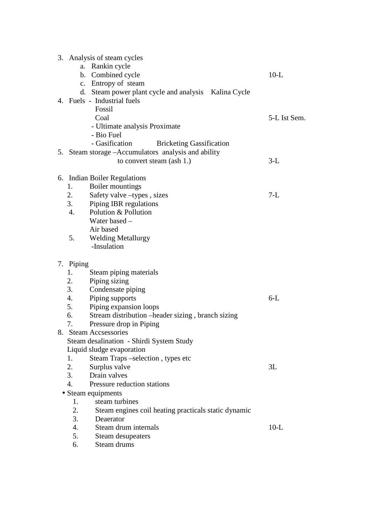|    | 3. Analysis of steam cycles<br>a. Rankin cycle             |              |
|----|------------------------------------------------------------|--------------|
|    | b. Combined cycle                                          | $10-L$       |
|    | c. Entropy of steam                                        |              |
|    | d. Steam power plant cycle and analysis Kalina Cycle       |              |
|    | 4. Fuels - Industrial fuels                                |              |
|    | Fossil                                                     |              |
|    | Coal                                                       | 5-L Ist Sem. |
|    | - Ultimate analysis Proximate                              |              |
|    | - Bio Fuel                                                 |              |
|    | - Gasification<br><b>Bricketing Gassification</b>          |              |
|    | 5. Steam storage - Accumulators analysis and ability       |              |
|    | to convert steam (ash 1.)                                  | $3-L$        |
| 6. | <b>Indian Boiler Regulations</b>                           |              |
|    | Boiler mountings<br>1.                                     |              |
|    | 2.<br>Safety valve -types, sizes                           | $7-L$        |
|    | 3.<br>Piping IBR regulations                               |              |
|    | Polution & Pollution<br>$\overline{4}$ .                   |              |
|    | Water based -                                              |              |
|    | Air based                                                  |              |
|    | 5.<br><b>Welding Metallurgy</b>                            |              |
|    | -Insulation                                                |              |
|    | 7. Piping                                                  |              |
|    | Steam piping materials<br>1.                               |              |
|    | 2.<br>Piping sizing                                        |              |
|    | 3.<br>Condensate piping                                    |              |
|    | 4.<br>Piping supports                                      | $6-L$        |
|    | 5.<br>Piping expansion loops                               |              |
|    | Stream distribution –header sizing, branch sizing<br>6.    |              |
|    | 7.<br>Pressure drop in Piping                              |              |
| 8. | <b>Steam Accsessories</b>                                  |              |
|    | Steam desalination - Shirdi System Study                   |              |
|    | Liquid sludge evaporation                                  |              |
|    | Steam Traps –selection, types etc<br>1.                    |              |
|    | 2.<br>Surplus valve                                        | 3L           |
|    | 3.<br>Drain valves                                         |              |
|    | $\overline{4}$ .<br>Pressure reduction stations            |              |
|    | • Steam equipments                                         |              |
|    | steam turbines<br>1.                                       |              |
|    | 2.<br>Steam engines coil heating practicals static dynamic |              |
|    | 3.<br>Deaerator                                            |              |
|    | 4.<br>Steam drum internals                                 | $10-L$       |
|    | 5.<br>Steam desupeaters                                    |              |
|    | Steam drums<br>6.                                          |              |